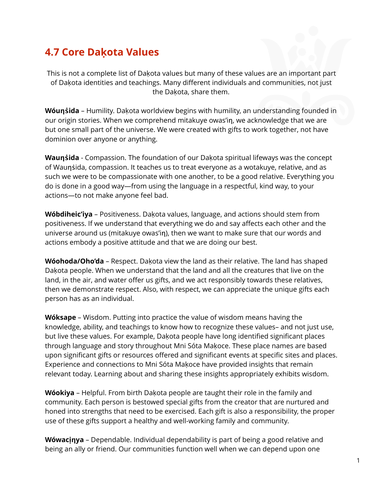## **4.7 Core Daḳota Values**

This is not a complete list of Dakota values but many of these values are an important part of Daḳota identities and teachings. Many different individuals and communities, not just the Dakota, share them.

**Wóunsida** – Humility. Dakota worldview begins with humility, an understanding founded in our origin stories. When we comprehend mitakuye owas'in, we acknowledge that we are but one small part of the universe. We were created with gifts to work together, not have dominion over anyone or anything.

**Waunsida** - Compassion. The foundation of our Dakota spiritual lifeways was the concept of Waunsida, compassion. It teaches us to treat everyone as a wotakuye, relative, and as such we were to be compassionate with one another, to be a good relative. Everything you do is done in a good way—from using the language in a respectful, kind way, to your actions—to not make anyone feel bad.

**Wóbdiheic'iya** – Positiveness. Dakota values, language, and actions should stem from positiveness. If we understand that everything we do and say affects each other and the universe around us (mitakuye owas'in), then we want to make sure that our words and actions embody a positive attitude and that we are doing our best.

**Wóohoda/Oho'da** – Respect. Dakota view the land as their relative. The land has shaped Dakota people. When we understand that the land and all the creatures that live on the land, in the air, and water offer us gifts, and we act responsibly towards these relatives, then we demonstrate respect. Also, with respect, we can appreciate the unique gifts each person has as an individual.

**Wóksape** – Wisdom. Putting into practice the value of wisdom means having the knowledge, ability, and teachings to know how to recognize these values– and not just use, but live these values. For example, Dakota people have long identified significant places through language and story throughout Mni Sóta Makoce. These place names are based upon significant gifts or resources offered and significant events at specific sites and places. Experience and connections to Mni Sóta Maḳoce have provided insights that remain relevant today. Learning about and sharing these insights appropriately exhibits wisdom.

Wóokiya - Helpful. From birth Dakota people are taught their role in the family and community. Each person is bestowed special gifts from the creator that are nurtured and honed into strengths that need to be exercised. Each gift is also a responsibility, the proper use of these gifts support a healthy and well-working family and community.

**Wówacinya** – Dependable. Individual dependability is part of being a good relative and being an ally or friend. Our communities function well when we can depend upon one